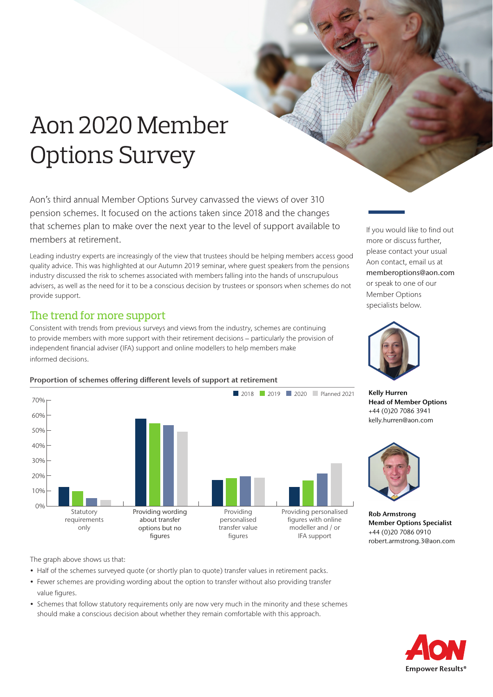# Aon 2020 Member Options Survey

Aon's third annual Member Options Survey canvassed the views of over 310 pension schemes. It focused on the actions taken since 2018 and the changes that schemes plan to make over the next year to the level of support available to members at retirement.

Leading industry experts are increasingly of the view that trustees should be helping members access good quality advice. This was highlighted at our Autumn 2019 seminar, where guest speakers from the pensions industry discussed the risk to schemes associated with members falling into the hands of unscrupulous advisers, as well as the need for it to be a conscious decision by trustees or sponsors when schemes do not provide support.

## The trend for more support

Consistent with trends from previous surveys and views from the industry, schemes are continuing to provide members with more support with their retirement decisions – particularly the provision of independent financial adviser (IFA) support and online modellers to help members make informed decisions.

## Proportion of schemes offering different levels of support at retirement



If you would like to find out more or discuss further, please contact your usual Aon contact, email us at memberoptions@aon.com or speak to one of our Member Options specialists below.



Kelly Hurren Head of Member Options +44 (0)20 7086 3941 kelly.hurren@aon.com



Rob Armstrong Member Options Specialist +44 (0)20 7086 0910 robert.armstrong.3@aon.com

The graph above shows us that:

- Half of the schemes surveyed quote (or shortly plan to quote) transfer values in retirement packs.
- Fewer schemes are providing wording about the option to transfer without also providing transfer value figures.
- Schemes that follow statutory requirements only are now very much in the minority and these schemes should make a conscious decision about whether they remain comfortable with this approach.